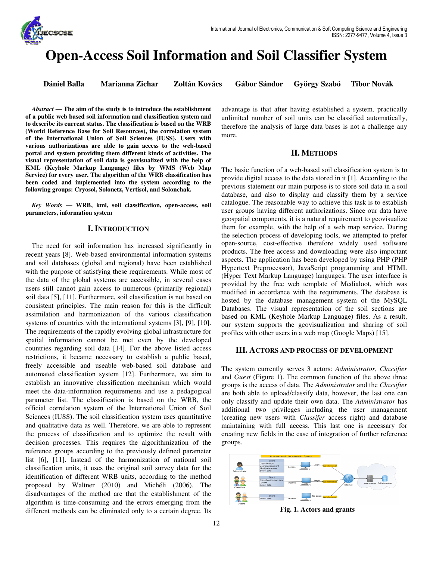

# **Open-Access Soil Information and Soil Classifier System**

**Dániel Balla Marianna Zichar Zoltán Kovács Gábor Sándor György Szabó Tibor Novák** 

*Abstract* **— The aim of the study is to introduce the establishment of a public web based soil information and classification system and to describe its current status. The classification is based on the WRB (World Reference Base for Soil Resources), the correlation system of the International Union of Soil Sciences (IUSS). Users with various authorizations are able to gain access to the web-based portal and system providing them different kinds of activities. The visual representation of soil data is geovisualized with the help of KML (Keyhole Markup Language) files by WMS (Web Map Service) for every user. The algorithm of the WRB classification has been coded and implemented into the system according to the following groups: Cryosol, Solonetz, Vertisol, and Solonchak.** 

*Key Words* **— WRB, kml, soil classification, open-access, soil parameters, information system** 

## **I. INTRODUCTION**

The need for soil information has increased significantly in recent years [8]. Web-based environmental information systems and soil databases (global and regional) have been established with the purpose of satisfying these requirements. While most of the data of the global systems are accessible, in several cases users still cannot gain access to numerous (primarily regional) soil data [5], [11]. Furthermore, soil classification is not based on consistent principles. The main reason for this is the difficult assimilation and harmonization of the various classification systems of countries with the international systems [3], [9], [10]. The requirements of the rapidly evolving global infrastructure for spatial information cannot be met even by the developed countries regarding soil data [14]. For the above listed access restrictions, it became necessary to establish a public based, freely accessible and useable web-based soil database and automated classification system [12]. Furthermore, we aim to establish an innovative classification mechanism which would meet the data-information requirements and use a pedagogical parameter list. The classification is based on the WRB, the official correlation system of the International Union of Soil Sciences (IUSS). The soil classification system uses quantitative and qualitative data as well. Therefore, we are able to represent the process of classification and to optimize the result with decision processes. This requires the algorithmization of the reference groups according to the previously defined parameter list [6], [11]. Instead of the harmonization of national soil classification units, it uses the original soil survey data for the identification of different WRB units, according to the method proposed by Waltner (2010) and Michéli (2006). The disadvantages of the method are that the establishment of the algorithm is time-consuming and the errors emerging from the different methods can be eliminated only to a certain degree. Its advantage is that after having established a system, practically unlimited number of soil units can be classified automatically, therefore the analysis of large data bases is not a challenge any more.

## **II. METHODS**

The basic function of a web-based soil classification system is to provide digital access to the data stored in it [1]. According to the previous statement our main purpose is to store soil data in a soil database, and also to display and classify them by a service catalogue. The reasonable way to achieve this task is to establish user groups having different authorizations. Since our data have geospatial components, it is a natural requirement to geovisualize them for example, with the help of a web map service. During the selection process of developing tools, we attempted to prefer open-source, cost-effective therefore widely used software products. The free access and downloading were also important aspects. The application has been developed by using PHP (PHP Hypertext Preprocessor), JavaScript programming and HTML (Hyper Text Markup Language) languages. The user interface is provided by the free web template of Medialoot, which was modified in accordance with the requirements. The database is hosted by the database management system of the MySQL Databases. The visual representation of the soil sections are based on KML (Keyhole Markup Language) files. As a result, our system supports the geovisualization and sharing of soil profiles with other users in a web map (Google Maps) [15].

## **III. ACTORS AND PROCESS OF DEVELOPMENT**

The system currently serves 3 actors: *Administrator*, *Classifier* and *Guest* (Figure 1). The common function of the above three groups is the access of data. The *Administrator* and the *Classifier* are both able to upload/classify data, however, the last one can only classify and update their own data. The *Administrator* has additional two privileges including the user management (creating new users with *Classifer* access right) and database maintaining with full access. This last one is necessary for creating new fields in the case of integration of further reference groups.



**Fig. 1. Actors and grants**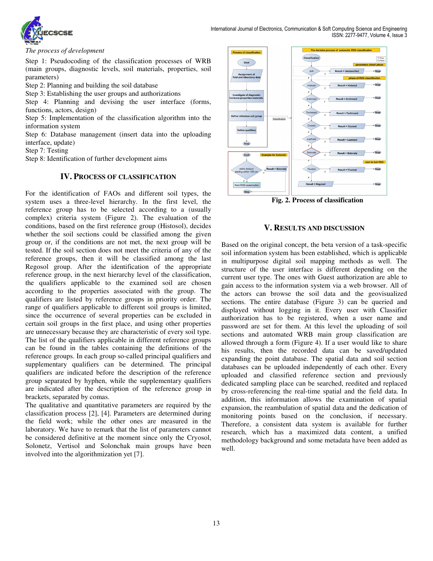

*The process of development* 

Step 1: Pseudocoding of the classification processes of WRB (main groups, diagnostic levels, soil materials, properties, soil parameters)

Step 2: Planning and building the soil database

Step 3: Establishing the user groups and authorizations

Step 4: Planning and devising the user interface (forms, functions, actors, design)

Step 5: Implementation of the classification algorithm into the information system

Step 6: Database management (insert data into the uploading interface, update)

Step 7: Testing

Step 8: Identification of further development aims

## **IV. PROCESS OF CLASSIFICATION**

For the identification of FAOs and different soil types, the system uses a three-level hierarchy. In the first level, the reference group has to be selected according to a (usually complex) criteria system (Figure 2). The evaluation of the conditions, based on the first reference group (Histosol), decides whether the soil sections could be classified among the given group or, if the conditions are not met, the next group will be tested. If the soil section does not meet the criteria of any of the reference groups, then it will be classified among the last Regosol group. After the identification of the appropriate reference group, in the next hierarchy level of the classification, the qualifiers applicable to the examined soil are chosen according to the properties associated with the group. The qualifiers are listed by reference groups in priority order. The range of qualifiers applicable to different soil groups is limited, since the occurrence of several properties can be excluded in certain soil groups in the first place, and using other properties are unnecessary because they are characteristic of every soil type. The list of the qualifiers applicable in different reference groups can be found in the tables containing the definitions of the reference groups. In each group so-called principal qualifiers and supplementary qualifiers can be determined. The principal qualifiers are indicated before the description of the reference group separated by hyphen, while the supplementary qualifiers are indicated after the description of the reference group in brackets, separated by comas.

The qualitative and quantitative parameters are required by the classification process [2], [4]. Parameters are determined during the field work; while the other ones are measured in the laboratory. We have to remark that the list of parameters cannot be considered definitive at the moment since only the Cryosol, Solonetz, Vertisol and Solonchak main groups have been involved into the algorithmization yet [7].



**Fig. 2. Process of classification** 

## **V. RESULTS AND DISCUSSION**

Based on the original concept, the beta version of a task-specific soil information system has been established, which is applicable in multipurpose digital soil mapping methods as well. The structure of the user interface is different depending on the current user type. The ones with Guest authorization are able to gain access to the information system via a web browser. All of the actors can browse the soil data and the geovisualized sections. The entire database (Figure 3) can be queried and displayed without logging in it. Every user with Classifier authorization has to be registered, when a user name and password are set for them. At this level the uploading of soil sections and automated WRB main group classification are allowed through a form (Figure 4). If a user would like to share his results, then the recorded data can be saved/updated expanding the point database. The spatial data and soil section databases can be uploaded independently of each other. Every uploaded and classified reference section and previously dedicated sampling place can be searched, reedited and replaced by cross-referencing the real-time spatial and the field data. In addition, this information allows the examination of spatial expansion, the reambulation of spatial data and the dedication of monitoring points based on the conclusion, if necessary. Therefore, a consistent data system is available for further research, which has a maximized data content, a unified methodology background and some metadata have been added as well.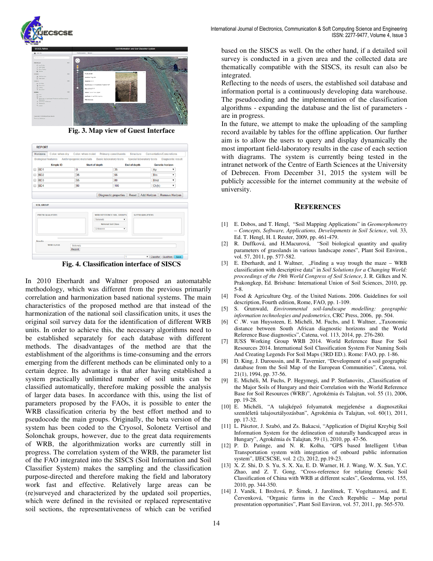

**Fig. 3. Map view of Guest Interface** 

|   | <b>Horizons</b>             | Color: when dry                                                    | Color: when moist |                       | <b>Primary constituents</b>      | Structure           |                          |  | <b>Cementation/Concretions</b> |                          |  |
|---|-----------------------------|--------------------------------------------------------------------|-------------------|-----------------------|----------------------------------|---------------------|--------------------------|--|--------------------------------|--------------------------|--|
|   |                             | Biological features Anthropogenic materials Basic laboratory tests |                   |                       |                                  |                     | Special laboratory tests |  |                                | <b>Diagnostic result</b> |  |
|   |                             | Simple ID                                                          |                   | <b>Start of depth</b> |                                  | <b>End of depth</b> |                          |  | <b>Genetic horizon</b>         |                          |  |
|   | B <sub>D</sub> 1            |                                                                    | 0                 |                       |                                  | 35                  |                          |  | Ap                             |                          |  |
|   | B <sub>D</sub> <sub>2</sub> |                                                                    | 35                |                       |                                  | 55                  |                          |  | <b>Btn</b>                     |                          |  |
| n | BD <sub>3</sub>             |                                                                    | 55                |                       |                                  | 80                  |                          |  | <b>Btnz</b>                    | ۰                        |  |
| ⋒ | BD4                         |                                                                    |                   | 80                    |                                  | 100                 |                          |  | Ck(k)                          | ۳.                       |  |
|   | <b>SOIL GROUP</b>           |                                                                    |                   |                       | <b>Diagnostic properties</b>     | Reset               | Add Horizon              |  | <b>Remove Horizon</b>          |                          |  |
|   |                             |                                                                    |                   |                       |                                  |                     |                          |  |                                |                          |  |
|   |                             | PREFIX QUALIFIERS                                                  |                   |                       | <b>WRB REFERENCE SOIL GROUPS</b> |                     | <b>SUFFIX QUALIFIERS</b> |  |                                |                          |  |
|   |                             |                                                                    |                   | Solonetz              | ۰                                |                     |                          |  |                                |                          |  |
|   |                             |                                                                    |                   |                       | <b>National Soil Class</b>       |                     |                          |  |                                |                          |  |
|   |                             |                                                                    |                   | Unknown               | $\pmb{\mathrm{v}}$               |                     |                          |  |                                |                          |  |
|   |                             |                                                                    |                   |                       |                                  |                     |                          |  |                                |                          |  |
|   | <b>Results</b>              |                                                                    |                   |                       |                                  |                     |                          |  |                                |                          |  |

**Fig. 4. Classification interface of SISCS** 

In 2010 Eberhardt and Waltner proposed an automatable methodology, which was different from the previous primarily correlation and harmonization based national systems. The main characteristics of the proposed method are that instead of the harmonization of the national soil classification units, it uses the original soil survey data for the identification of different WRB units. In order to achieve this, the necessary algorithms need to be established separately for each database with different methods. The disadvantages of the method are that the establishment of the algorithms is time-consuming and the errors emerging from the different methods can be eliminated only to a certain degree. Its advantage is that after having established a system practically unlimited number of soil units can be classified automatically, therefore making possible the analysis of larger data bases. In accordance with this, using the list of parameters proposed by the FAOs, it is possible to enter the WRB classification criteria by the best effort method and to pseudocode the main groups. Originally, the beta version of the system has been coded to the Cryosol, Solonetz Vertisol and Solonchak groups, however, due to the great data requirements of WRB, the algorithmization works are currently still in progress. The correlation system of the WRB, the parameter list of the FAO integrated into the SISCS (Soil Information and Soil Classifier System) makes the sampling and the classification purpose-directed and therefore making the field and laboratory work fast and effective. Relatively large areas can be (re)surveyed and characterized by the updated soil properties, which were defined in the revisited or replaced representative soil sections, the representativeness of which can be verified based on the SISCS as well. On the other hand, if a detailed soil survey is conducted in a given area and the collected data are thematically compatible with the SISCS, its result can also be integrated.

Reflecting to the needs of users, the established soil database and information portal is a continuously developing data warehouse. The pseudocoding and the implementation of the classification algorithms - expanding the database and the list of parameters are in progress.

In the future, we attempt to make the uploading of the sampling record available by tables for the offline application. Our further aim is to allow the users to query and display dynamically the most important field-laboratory results in the case of each section with diagrams. The system is currently being tested in the intranet network of the Centre of Earth Sciences at the University of Debrecen. From December 31, 2015 the system will be publicly accessible for the internet community at the website of university.

### **REFERENCES**

- [1] E. Dobos, and T. Hengl, "Soil Mapping Applications" in *Geomorphometry – Concepts, Software, Applications, Developments in Soil Science*, vol. 33, Ed. T. Hengl, H. I. Reuter, 2009, pp. 461-479.
- [2] R. Duffková, and H.Macurová, "Soil biological quantity and quality parameters of grasslands in various landscape zones", Plant Soil Environ., vol. 57, 2011, pp. 577-582.
- [3] E. Eberhardt, and I. Waltner, "Finding a way trough the maze WRB classification with descriptive data" in *Soil Solutions for a Changing World: proceedings of the 19th World Congress of Soil Science*, J. R. Gilkes and N. Prakongkep, Ed. Brisbane: International Union of Soil Sciences, 2010, pp. 5-8.
- [4] Food & Agriculture Org. of the United Nations. 2006. Guidelines for soil description, Fourth edition, Rome, FAO, pp. 1-109.
- [5] S. Grunwald, *Environmental soil-landscape modelling: geographic information technologies and pedometrics*, CRC Press, 2006, pp. 504.
- [6] C .W. van Huyssteen, E. Michéli, M. Fuchs, and I. Waltner, "Taxonomic distance between South African diagnostic horizons and the World Reference Base diagnostics", Catena, vol. 113, 2014, pp. 276-280.
- [7] IUSS Working Group WRB 2014. World Reference Base For Soil Resources 2014. International Soil Classification System For Naming Soils And Creating Legends For Soil Maps (3RD ED.). Rome: FAO, pp. 1-86.
- [8] D. King, J. Daroussin, and R. Tavernier, "Development of a soil geographic database from the Soil Map of the European Communities", Catena, vol. 21(1), 1994, pp. 37-56.
- [9] E. Michéli, M. Fuchs, P. Hegymegi, and P. Stefanovits, "Classification of the Major Soils of Hungary and their Correlation with the World Reference Base for Soil Resources (WRB)", Agrokémia és Talajtan, vol. 55 (1), 2006, pp. 19-28.
- [10] E. Michéli, "A talajképző folyamatok megjelenése a diagnosztikai szemléletű talajosztályozásban", Agrokémia és Talajtan, vol. 60(1), 2011, pp. 17-32.
- [11] L. Pásztor, J. Szabó, and Zs. Bakacsi, "Application of Digital Kreybig Soil Information System for the delineation of naturally handicapped areas in Hungary", Agrokémia és Talajtan, 59 (1), 2010, pp. 47-56.
- [12] P. D. Patinge, and N. R. Kolha, "GPS based Intelligent Urban Transportation system with integration of onboard public information system", IJECSCSE, vol. 2 (2), 2012, pp.19-23.
- [13] X. Z. Shi, D. S. Yu, S. X. Xu, E. D. Warner, H. J. Wang, W. X. Sun, Y.C. Zhao, and Z. T. Gong, "Cross-reference for relating Genetic Soil Classification of China with WRB at different scales", Geoderma, vol. 155, 2010, pp. 344-350.
- [14] J. Vaněk, I. Brožová, P. Šimek, J. Jarolímek, T. Vogeltanzová, and E. Červenková, "Organic farms in the Czech Republic – Map portal presentation opportunities", Plant Soil Environ, vol. 57, 2011, pp. 565-570.